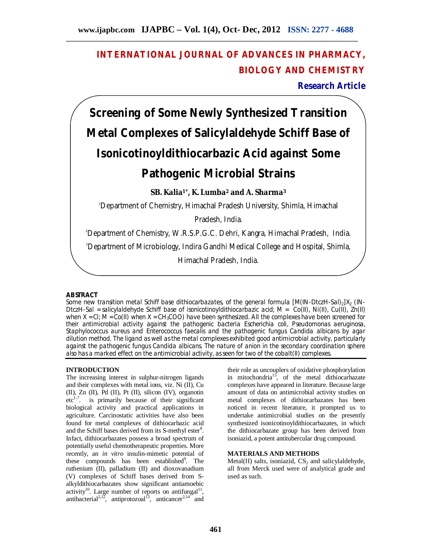## **INTERNATIONAL JOURNAL OF ADVANCES IN PHARMACY, BIOLOGY AND CHEMISTRY**

**Research Article**

# **Screening of Some Newly Synthesized Transition Metal Complexes of Salicylaldehyde Schiff Base of Isonicotinoyldithiocarbazic Acid against Some Pathogenic Microbial Strains**

**SB. Kalia1\*, K. Lumba<sup>2</sup> and A. Sharma<sup>3</sup>**

<sup>1</sup>Department of Chemistry, Himachal Pradesh University, Shimla, Himachal

Pradesh, India.

<sup>2</sup>Department of Chemistry, W.R.S.P.G.C. Dehri, Kangra, Himachal Pradesh, India.

<sup>3</sup>Department of Microbiology, Indira Gandhi Medical College and Hospital, Shimla,

Himachal Pradesh, India.

### **ABSTRACT**

Some new transition metal Schiff base dithiocarbazates, of the general formula  $[M(IN-DtcZH-Sal)_2]X_2$  (IN-DtczH-Sal = salicylaldehyde Schiff base of isonicotinoyldithiocarbazic acid; M = Co(II), Ni(II), Cu(II), Zn(II) when  $X = CI$ ; M = Co(II) when  $X = CH_3COO$  have been synthesized. All the complexes have been screened for their antimicrobial activity against the pathogenic bacteria *Escherichia coli*, *Pseudomonas aeruginosa*, *Staphylococcus aureus* and *Enterococcus faecalis* and the pathogenic fungus *Candida albicans* by agar dilution method. The ligand as well as the metal complexes exhibited good antimicrobial activity, particularly against the pathogenic fungus *Candida albicans*. The nature of anion in the secondary coordination sphere also has a marked effect on the antimicrobial activity, as seen for two of the cobalt(II) complexes.

### **INTRODUCTION**

The increasing interest in sulphur-nitrogen ligands and their complexes with metal ions, viz. Ni (II), Cu (II), Zn (II), Pd (II), Pt (II), silicon (IV), organotin  $etc<sup>1-7</sup>$ . is primarily because of their significant biological activity and practical applications in agriculture. Carcinostatic activities have also been found for metal complexes of dithiocarbazic acid and the Schiff bases derived from its S-methyl ester<sup>8</sup>. Infact, dithiocarbazates possess a broad spectrum of potentially useful chemotherapeutic properties. More recently, an *in vitro* insulin-mimetic potential of these compounds has been established<sup>9</sup>. The ruthenium (II), palladium (II) and dioxovanadium (V) complexes of Schiff bases derived from Salkyldithiocarbazates show significant antiamoebic activity<sup>10</sup>. Large number of reports on antifungal<sup>11</sup>, antibacterial<sup>2,12</sup>, antiprotozoal<sup>13</sup>, anticancer<sup>2,14</sup> and

their role as uncouplers of oxidative phosphorylation in mitochondria<sup>15</sup>, of the metal dithiocarbazate complexes have appeared in literature. Because large amount of data on antimicrobial activity studies on metal complexes of dithiocarbazates has been noticed in recent literature, it prompted us to undertake antimicrobial studies on the presently synthesized isonicotinoyldithiocarbazates, in which the dithiocarbazate group has been derived from isoniazid, a potent antitubercular drug compound.

#### **MATERIALS AND METHODS**

Metal(II) salts, isoniazid,  $CS_2$  and salicylaldehyde, all from Merck used were of analytical grade and used as such.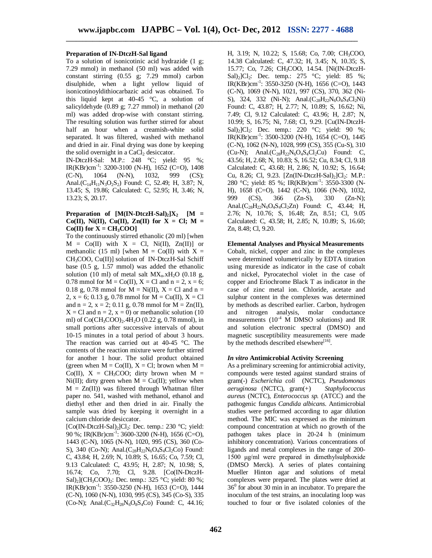#### **Preparation of IN-DtczH-Sal ligand**

To a solution of isonicotinic acid hydrazide (1 g; 7.29 mmol) in methanol (50 ml) was added with constant stirring (0.55 g; 7.29 mmol) carbon disulphide, when a light yellow liquid of isonicotinoyldithiocarbazic acid was obtained. To this liquid kept at  $40-45$  °C, a solution of salicyldehyde (0.89 g; 7.27 mmol) in methanol (20 ml) was added drop-wise with constant stirring. The resulting solution was further stirred for about half an hour when a creamish-white solid separated. It was filtered, washed with methanol and dried in air. Final drying was done by keeping the solid overnight in a CaCl $_2$  desiccator.

IN-DtczH-Sal: M.P.: 248 °C; yield: 95 %; IR(KBr)cm-1 : 3200-3100 (N-H), 1652 (C=O), 1408 (C-N), 1064 (N-N), 1032, 999 (CS); Anal.( $C_{14}H_{11}N_3O_2S_2$ ) Found: C, 52.49; H, 3.87; N, 13.45; S, 19.86; Calculated: C, 52.95; H, 3.46; N, 13.23; S, 20.17.

#### **Preparation of**  $[M(IN-DtczH-Sal)_2]X_2$   $[M =$ Co(II), Ni(II), Cu(II), Zn(II) for  $X = Cl$ ; M =  $Co(II)$  for  $X = CH_3COO$

To the continuously stirred ethanolic (20 ml) [when  $M = Co(II)$  with  $X = Cl$ ,  $Ni(II)$ ,  $Zn(II)$ ] or methanolic (15 ml) [when  $M = Co(II)$  with  $X =$ CH3COO, Cu(II)] solution of IN-DtczH-Sal Schiff base (0.5 g, 1.57 mmol) was added the ethanolic solution (10 ml) of metal salt  $MX_n.xH_2O$  (0.18 g, 0.78 mmol for  $M = Co(II)$ ,  $X = Cl$  and  $n = 2$ ,  $x = 6$ ; 0.18 g, 0.78 mmol for  $M = Ni(II)$ ,  $X = Cl$  and  $n =$ 2,  $x = 6$ ; 0.13 g, 0.78 mmol for  $M = Cu(II)$ ,  $X = Cl$ and  $n = 2$ ,  $x = 2$ ; 0.11 g, 0.78 mmol for  $M = Zn(II)$ ,  $X = Cl$  and  $n = 2$ ,  $x = 0$ ) or methanolic solution (10) ml) of  $Co(CH_3COO)_2.4H_2O$  (0.22 g, 0.78 mmol), in small portions after successive intervals of about 10-15 minutes in a total period of about 3 hours. The reaction was carried out at 40-45 °C. The contents of the reaction mixture were further stirred for another 1 hour. The solid product obtained (green when  $M = Co(II)$ ,  $X = Cl$ ; brown when  $M =$ Co(II),  $X = CH_3COO$ ; dirty brown when  $M =$ Ni(II); dirty green when  $M = Cu(II)$ ; yellow when  $M = Zn(II)$  was filtered through Whatman filter paper no. 541, washed with methanol, ethanol and diethyl ether and then dried in air. Finally the sample was dried by keeping it overnight in a calcium chloride desiccator.

[Co(IN-DtczH-Sal)<sub>2</sub>]Cl<sub>2</sub>: Dec. temp.: 230 °C; yield: 90 %; IR(KBr)cm<sup>-1</sup>: 3600-3200 (N-H), 1656 (C=O), 1443 (C-N), 1065 (N-N), 1020, 995 (CS), 360 (Co-S), 340 (Co-N); Anal. $(C_{28}H_{22}N_6O_4S_4Cl_2Co$  Found: C, 43.84; H, 2.69; N, 10.89; S, 16.65; Co, 7.59; Cl, 9.13 Calculated: C, 43.95; H, 2.87; N, 10.98; S, 16.74; Co, 7.70; Cl, 9.28. [Co(IN-DtczH-Sal)<sub>2</sub>](CH<sub>3</sub>COO)<sub>2</sub>: Dec. temp.: 325 °C; yield: 80 %; IR(KBr)cm-1 : 3550-3250 (N-H), 1653 (C=O), 1444 (C-N), 1060 (N-N), 1030, 995 (CS), 345 (Co-S), 335 (Co-N); Anal. $(C_{32}H_{28}N_6O_8S_4C_0)$  Found: C, 44.16;

H, 3.19; N, 10.22; S, 15.68; Co, 7.00; CH3COO, 14.38 Calculated: C, 47.32; H, 3.45; N, 10.35; S, 15.77; Co, 7.26; CH<sub>3</sub>COO, 14.54. [Ni(IN-DtczH-Sal)<sub>2</sub>]Cl<sub>2</sub>: Dec. temp.: 275 °C; yield: 85 %; IR(KBr)cm-1 : 3550-3250 (N-H), 1656 (C=O), 1443 (C-N), 1069 (N-N), 1021, 997 (CS), 370, 362 (Ni-S), 324, 332 (Ni-N); Anal.( $C_{28}H_{22}N_6O_4S_4Cl_2Ni$ ) Found: C, 43.87; H, 2.77; N, 10.89; S, 16.62; Ni, 7.49; Cl, 9.12 Calculated: C, 43.96; H, 2.87; N, 10.99; S, 16.75; Ni, 7.68; Cl, 9.29. [Cu(IN-DtczH-Sal)<sub>2</sub>]Cl<sub>2</sub>: Dec. temp.: 220 °C; yield: 90 %; IR(KBr)cm-1 : 3500-3200 (N-H), 1654 (C=O), 1445 (C-N), 1062 (N-N), 1028, 999 (CS), 355 (Cu-S), 310  $(Cu-N)$ : Anal. $(C_{28}H_{22}N_6O_4S_4Cl_2Cu)$  Found: C, 43.56; H, 2.68; N, 10.83; S, 16.52; Cu, 8.34; Cl, 9.18 Calculated: C, 43.68; H, 2.86; N, 10.92; S, 16.64; Cu, 8.26; Cl, 9.23.  $[Zn(IN-DtczH-Sal)_2]Cl_2$ : M.P.: 280 °C; yield: 85 %; IR(KBr)cm<sup>-1</sup>: 3550-3300 (N-H), 1658 (C=O), 1442 (C-N), 1066 (N-N), 1032,<br>999 (CS), 366 (Zn-S), 330 (Zn-N); (CS),  $366$  (Zn-S),  $330$  (Zn-N); Anal.(C<sub>28</sub>H<sub>22</sub>N<sub>6</sub>O<sub>4</sub>S<sub>4</sub>Cl<sub>2</sub>Zn) Found: C, 43.44; H, 2.76; N, 10.76; S, 16.48; Zn, 8.51; Cl, 9.05 Calculated: C, 43.58; H, 2.85; N, 10.89; S, 16.60; Zn, 8.48; Cl, 9.20.

**Elemental Analyses and Physical Measurements** Cobalt, nickel, copper and zinc in the complexes were determined volumetrically by EDTA titration using murexide as indicator in the case of cobalt and nickel, Pyrocatechol violet in the case of copper and Eriochrome Black T as indicator in the case of zinc metal ion. Chloride, acetate and sulphur content in the complexes was determined by methods as described earlier. Carbon, hydrogen and nitrogen analysis, molar conductance measurements (10<sup>-4</sup> M DMSO solutions) and IR and solution electronic spectral (DMSO) and magnetic susceptibility measurements were made by the methods described elsewhere<sup>[16]</sup>.

#### *In vitro* **Antimicrobial Activity Screening**

As a preliminary screening for antimicrobial activity, compounds were tested against standard strains of gram(-) *Escherichia coli* (NCTC), *Pseudomonas aeruginosa* (NCTC), gram(+) *Staphylococcus aureus* (NCTC), *Enterococcus sp.* (ATCC) and the pathogenic fungus *Candida albicans*. Antimicrobial studies were performed according to agar dilution method. The MIC was expressed as the minimum compound concentration at which no growth of the pathogen takes place in 20-24 h (minimum inhibitory concentration). Various concentrations of ligands and metal complexes in the range of 200- 1500 μg/ml were prepared in dimethylsulphoxide (DMSO Merck). A series of plates containing Mueller Hinton agar and solutions of metal complexes were prepared. The plates were dried at 36 0 for about 30 min in an incubator. To prepare the inoculum of the test strains, an inoculating loop was touched to four or five isolated colonies of the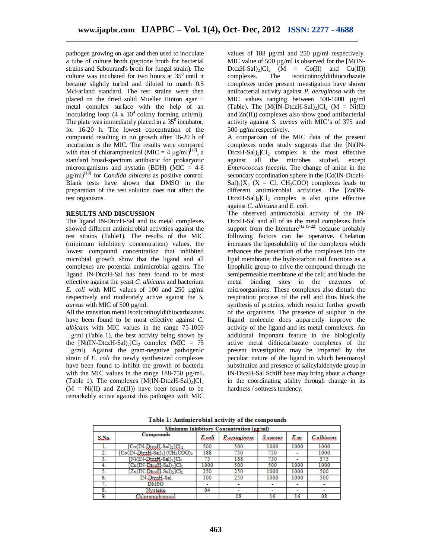pathogen growing on agar and then used to inoculate a tube of culture broth (peptone broth for bacterial strains and Sabourand's broth for fungal strain). The culture was incubated for two hours at  $35<sup>0</sup>$  until it became slightly turbid and diluted to match 0.5 McFarland standard. The test strains were then placed on the dried solid Mueller Hinton agar + metal complex surface with the help of an inoculating loop  $(4 \times 10^4 \text{ colony forming unit/ml}).$ The plate was immediately placed in a  $35^{\circ}$  incubator, for 16-20 h. The lowest concentration of the compound resulting in no growth after 16-20 h of incubation is the MIC. The results were compared with that of chloramphenicol (MIC = 4  $\mu$ g/ml)<sup>[17]</sup>, a standard broad-spectrum antibiotic for prokaryotic microorganisms and nystatin (BDH) (MIC = 4-8 μg/ml)[18] for *Candida albicans* as positive control. Blank tests have shown that DMSO in the preparation of the test solution does not affect the test organisms.

#### **RESULTS AND DISCUSSION**

The ligand IN-DtczH-Sal and its metal complexes showed different antimicrobial activities against the test strains (Table1). The results of the MIC (minimum inhibitory concentration) values, the lowest compound concentration that inhibited microbial growth show that the ligand and all complexes are potential antimicrobial agents. The ligand IN-DtczH-Sal has been found to be most effective against the yeast *C. albicans* and bacterium *E. coli* with MIC values of 100 and 250 µg/ml respectively and moderately active against the *S. aureus* with MIC of 500 µg/ml.

All the transition metal isonicotinoyldithiocarbazates have been found to be most effective against *C. albicans* with MIC values in the range 75-1000  $\Box$ g/ml (Table 1), the best activity being shown by the  $[Ni(IN-DtczH-Sal)_2]Cl_2$  complex (MIC = 75  $\Box$ g/ml). Against the gram-negative pathogenic strain of *E. coli* the newly synthesized complexes have been found to inhibit the growth of bacteria with the MIC values in the range  $188-750 \text{ µg/mL}$ (Table 1). The complexes  $[M(IN-DtczH-Sal)_2]Cl_2$  $(M = Ni(II)$  and  $Zn(II)$  have been found to be remarkably active against this pathogen with MIC

values of 188 µg/ml and 250 µg/ml respectively. MIC value of 500  $\mu$ g/ml is observed for the [M(IN- $DtczH-Sal$ <sub>2</sub>]Cl<sub>2</sub> (M = Co(II) and Cu(II)) complexes. The isonicotinoyldithiocarbazate complexes under present investigation have shown antibacterial activity against *P. aeruginosa* with the MIC values ranging between 500-1000  $\mu$ g/ml (Table). The  $[M(IN-DtczH-Sal)_2]Cl_2$  (M = Ni(II) and Zn(II)) complexes also show good antibacterial activity against *S. aureus* with MIC's of 375 and 500 µg/mlrespectively.

A comparison of the MIC data of the present complexes under study suggests that the [Ni(IN- $D$ tczH-Sal $)$  $[|C|$  complex is the most effective against all the microbes studied, except *Enterococcus faecalis*. The change of anion in the secondary coordination sphere in the [Co(IN-DtczH- $\text{Sal}_2$  $[X_2 \text{ (X = Cl, CH}_3\text{COO})$  complexes leads to different antimicrobial activities. The [Zn(IN- $DtczH-Sal)_2|Cl_2$  complex is also quite effective against *C. albicans* and *E. coli*.

The observed antimicrobial activity of the IN-DtczH-Sal and all of its the metal complexes finds support from the literature<sup>[12,19-22]</sup> because probably following factors can be operative. Chelation increases the liposolubility of the complexes which enhances the penetration of the complexes into the lipid membrane; the hydrocarbon tail functions as a lipophilic group to drive the compound through the semipermeable membrane of the cell; and blocks the metal binding sites in the enzymes of microorganisms. These complexes also disturb the respiration process of the cell and thus block the synthesis of proteins, which restrict further growth of the organisms. The presence of sulphur in the ligand molecule does apparently improve the activity of the ligand and its metal complexes. An additional important feature in the biologically active metal dithiocarbazate complexes of the present investigation may be imparted by the peculiar nature of the ligand in which heteroaroyl substitution and presence of salicylaldehyde group in IN-DtczH-Sal Schiff base may bring about a change in the coordinating ability through change in its hardness / softness tendency.

| Minimum Inhibitory Concentration (ug/ml) |                                                 |       |                     |                          |                          |                          |
|------------------------------------------|-------------------------------------------------|-------|---------------------|--------------------------|--------------------------|--------------------------|
| S.No.                                    | Compounds                                       | Eseli | <i>Р. авгнатоза</i> | Sawaua                   | E.W.                     | Calbicans                |
|                                          | $[Co(IN-DtczH-Sal)2]Cl2$                        | 500   | 500                 | 1000                     | 1000                     | 1000                     |
|                                          | $[Co(IN-D)tczH-Sal)2] (CH3COO)2$                | 188   | 750                 | 750                      | -                        | 1000                     |
|                                          | [Ni(IN-DtczH-Sal) <sub>2</sub> ]Cl <sub>2</sub> | 75    | 188                 | 750                      | ۰                        | 375                      |
|                                          | [Cu(IN-DtczH-Sal) <sub>2</sub> ]Cl <sub>2</sub> | 1000  | 500                 | 500                      | 1000                     | 1000                     |
|                                          | [Zn(IN-DtczH-Sal)2]Cl2                          | 250   | 250                 | 1000                     | 1000                     | 500                      |
| 6.                                       | IN-DtezH-Sal                                    | 100   | 250                 | 1000                     | 1000                     | 500                      |
| . .                                      | <b>DMSO</b>                                     |       |                     |                          |                          |                          |
| 8.                                       | Nystatin.                                       | 04    |                     | $\overline{\phantom{a}}$ | $\overline{\phantom{a}}$ | $\overline{\phantom{a}}$ |
| 9.                                       | Chloramphenicol                                 | ٠     | 08                  | 16                       | 16                       | 08                       |

Table 1: Antimicrobial activity of the compounds